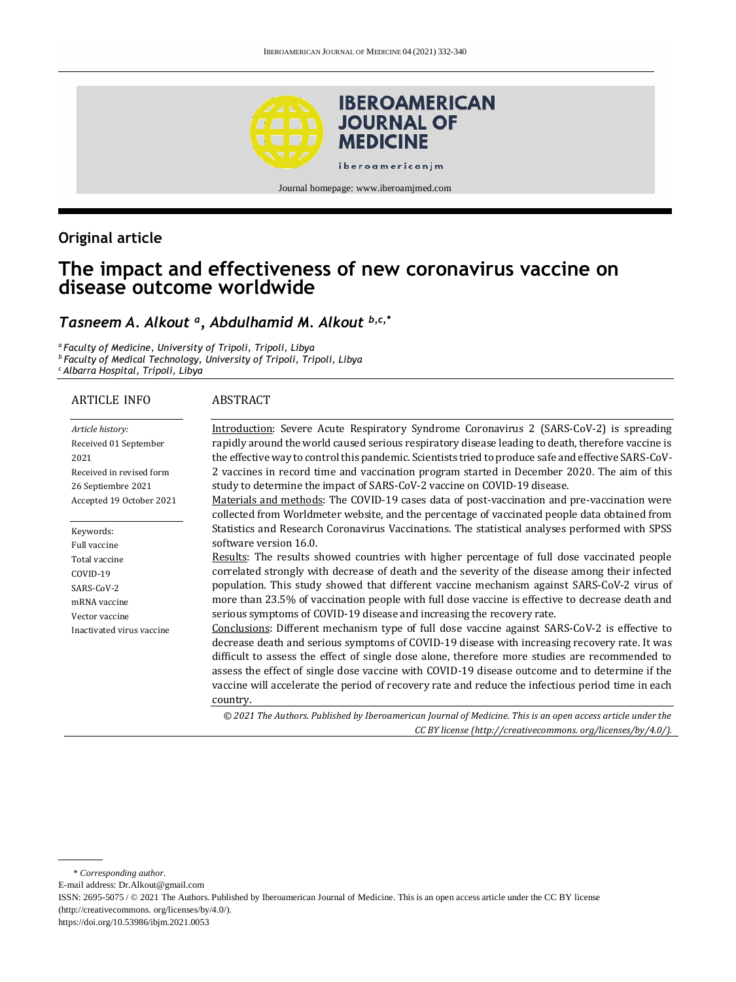

# **Original article**

# **The impact and effectiveness of new coronavirus vaccine on disease outcome worldwide**

# *Tasneem A. Alkout <sup>a</sup> , Abdulhamid M. Alkout b,c,\**

*a Faculty of Medicine, University of Tripoli, Tripoli, Libya b Faculty of Medical Technology, University of Tripoli, Tripoli, Libya <sup>c</sup> Albarra Hospital, Tripoli, Libya*

#### ARTICLE INFO

#### ABSTRACT

| Article history:          | Introduction: Severe Acute Respiratory Syndrome Coronavirus 2 (SARS-CoV-2) is spreading                                                                                                        |
|---------------------------|------------------------------------------------------------------------------------------------------------------------------------------------------------------------------------------------|
| Received 01 September     | rapidly around the world caused serious respiratory disease leading to death, therefore vaccine is                                                                                             |
| 2021                      | the effective way to control this pandemic. Scientists tried to produce safe and effective SARS-CoV-                                                                                           |
| Received in revised form  | 2 vaccines in record time and vaccination program started in December 2020. The aim of this                                                                                                    |
| 26 Septiembre 2021        | study to determine the impact of SARS-CoV-2 vaccine on COVID-19 disease.                                                                                                                       |
| Accepted 19 October 2021  | Materials and methods: The COVID-19 cases data of post-vaccination and pre-vaccination were<br>collected from Worldmeter website, and the percentage of vaccinated people data obtained from   |
| Keywords:                 | Statistics and Research Coronavirus Vaccinations. The statistical analyses performed with SPSS                                                                                                 |
| Full vaccine              | software version 16.0.                                                                                                                                                                         |
| Total vaccine             | Results: The results showed countries with higher percentage of full dose vaccinated people                                                                                                    |
| COVID-19                  | correlated strongly with decrease of death and the severity of the disease among their infected                                                                                                |
| SARS-CoV-2                | population. This study showed that different vaccine mechanism against SARS-CoV-2 virus of                                                                                                     |
| mRNA vaccine              | more than 23.5% of vaccination people with full dose vaccine is effective to decrease death and                                                                                                |
| Vector vaccine            | serious symptoms of COVID-19 disease and increasing the recovery rate.                                                                                                                         |
| Inactivated virus vaccine | Conclusions: Different mechanism type of full dose vaccine against SARS-CoV-2 is effective to<br>decrease death and serious symptoms of COVID-19 disease with increasing recovery rate. It was |
|                           | difficult to assess the effect of single dose alone, therefore more studies are recommended to                                                                                                 |
|                           | assess the effect of single dose vaccine with COVID-19 disease outcome and to determine if the                                                                                                 |
|                           | vaccine will accelerate the period of recovery rate and reduce the infectious period time in each                                                                                              |
|                           | country.                                                                                                                                                                                       |
|                           | © 2021 The Authors. Published by Iberoamerican Journal of Medicine. This is an open access article under the                                                                                   |
|                           | CC BY license (http://creativecommons.org/licenses/by/4.0/).                                                                                                                                   |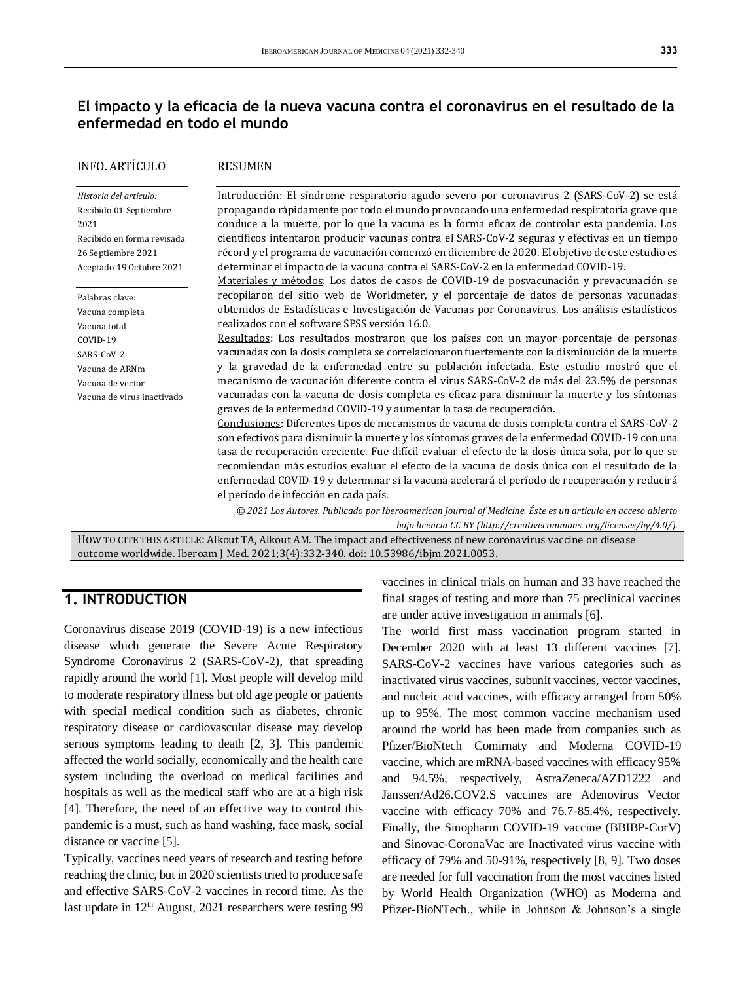# **El impacto y la eficacia de la nueva vacuna contra el coronavirus en el resultado de la enfermedad en todo el mundo**

| INFO. ARTÍCULO             | <b>RESUMEN</b>                                                                                                                                                      |
|----------------------------|---------------------------------------------------------------------------------------------------------------------------------------------------------------------|
| Historia del artículo:     | Introducción: El síndrome respiratorio agudo severo por coronavirus 2 (SARS-CoV-2) se está                                                                          |
| Recibido 01 Septiembre     | propagando rápidamente por todo el mundo provocando una enfermedad respiratoria grave que                                                                           |
| 2021                       | conduce a la muerte, por lo que la vacuna es la forma eficaz de controlar esta pandemia. Los                                                                        |
| Recibido en forma revisada | científicos intentaron producir vacunas contra el SARS-CoV-2 seguras y efectivas en un tiempo                                                                       |
| 26 Septiembre 2021         | récord y el programa de vacunación comenzó en diciembre de 2020. El objetivo de este estudio es                                                                     |
| Aceptado 19 Octubre 2021   | determinar el impacto de la vacuna contra el SARS-CoV-2 en la enfermedad COVID-19.                                                                                  |
|                            | Materiales y métodos: Los datos de casos de COVID-19 de posvacunación y prevacunación se                                                                            |
| Palabras clave:            | recopilaron del sitio web de Worldmeter, y el porcentaje de datos de personas vacunadas                                                                             |
| Vacuna completa            | obtenidos de Estadísticas e Investigación de Vacunas por Coronavirus. Los análisis estadísticos                                                                     |
| Vacuna total               | realizados con el software SPSS versión 16.0.                                                                                                                       |
| COVID-19                   | Resultados: Los resultados mostraron que los países con un mayor porcentaje de personas                                                                             |
| SARS-CoV-2                 | vacunadas con la dosis completa se correlacionaron fuertemente con la disminución de la muerte                                                                      |
| Vacuna de ARNm             | y la gravedad de la enfermedad entre su población infectada. Este estudio mostró que el                                                                             |
| Vacuna de vector           | mecanismo de vacunación diferente contra el virus SARS-CoV-2 de más del 23.5% de personas                                                                           |
| Vacuna de virus inactivado | vacunadas con la vacuna de dosis completa es eficaz para disminuir la muerte y los síntomas<br>graves de la enfermedad COVID-19 y aumentar la tasa de recuperación. |
|                            | Conclusiones: Diferentes tipos de mecanismos de vacuna de dosis completa contra el SARS-CoV-2                                                                       |
|                            | son efectivos para disminuir la muerte y los síntomas graves de la enfermedad COVID-19 con una                                                                      |
|                            | tasa de recuperación creciente. Fue difícil evaluar el efecto de la dosis única sola, por lo que se                                                                 |
|                            | recomiendan más estudios evaluar el efecto de la vacuna de dosis única con el resultado de la                                                                       |
|                            | enfermedad COVID-19 y determinar si la vacuna acelerará el período de recuperación y reducirá                                                                       |
|                            | el período de infección en cada país.                                                                                                                               |
|                            | © 2021 Los Autores. Publicado por Iberoamerican Journal of Medicine. Éste es un artículo en acceso abierto                                                          |

*bajo licencia CC BY (http:/[/creativecommons. org/licenses/by/4.0/\)](https://creativecommons.org/licenses/by/4.0/).*

HOW TO CITE THIS ARTICLE: Alkout TA, Alkout AM. The impact and effectiveness of new coronavirus vaccine on disease outcome worldwide. Iberoam J Med. 2021;3(4):332-340. doi[: 10.53986/ibjm.2021.0053.](https://doi.org/10.53986/ibjm.2021.0053)

### **1. INTRODUCTION**

Coronavirus disease 2019 (COVID-19) is a new infectious disease which generate the Severe Acute Respiratory Syndrome Coronavirus 2 (SARS-CoV-2), that spreading rapidly around the world [1]. Most people will develop mild to moderate respiratory illness but old age people or patients with special medical condition such as diabetes, chronic respiratory disease or cardiovascular disease may develop serious symptoms leading to death [2, 3]. This pandemic affected the world socially, economically and the health care system including the overload on medical facilities and hospitals as well as the medical staff who are at a high risk [4]. Therefore, the need of an effective way to control this pandemic is a must, such as hand washing, face mask, social distance or vaccine [5].

Typically, vaccines need years of research and testing before reaching the clinic, but in 2020 scientists tried to produce safe and effective SARS-CoV-2 vaccines in record time. As the last update in  $12<sup>th</sup>$  August, 2021 researchers were testing 99

vaccines in clinical trials on human and 33 have reached the final stages of testing and more than 75 preclinical vaccines are under active investigation in animals [6].

The world first mass vaccination program started in December 2020 with at least 13 different vaccines [7]. SARS-CoV-2 vaccines have various categories such as inactivated virus vaccines, subunit vaccines, vector vaccines, and nucleic acid vaccines, with efficacy arranged from 50% up to 95%. The most common vaccine mechanism used around the world has been made from companies such as Pfizer/BioNtech Comirnaty and Moderna COVID-19 vaccine, which are mRNA-based vaccines with efficacy 95% and 94.5%, respectively, AstraZeneca/AZD1222 and Janssen/Ad26.COV2.S vaccines are Adenovirus Vector vaccine with efficacy 70% and 76.7-85.4%, respectively. Finally, the Sinopharm COVID-19 vaccine (BBIBP-CorV) and Sinovac-CoronaVac are Inactivated virus vaccine with efficacy of 79% and 50-91%, respectively [8, 9]. Two doses are needed for full vaccination from the most vaccines listed by World Health Organization (WHO) as Moderna and Pfizer-BioNTech., while in Johnson & Johnson's a single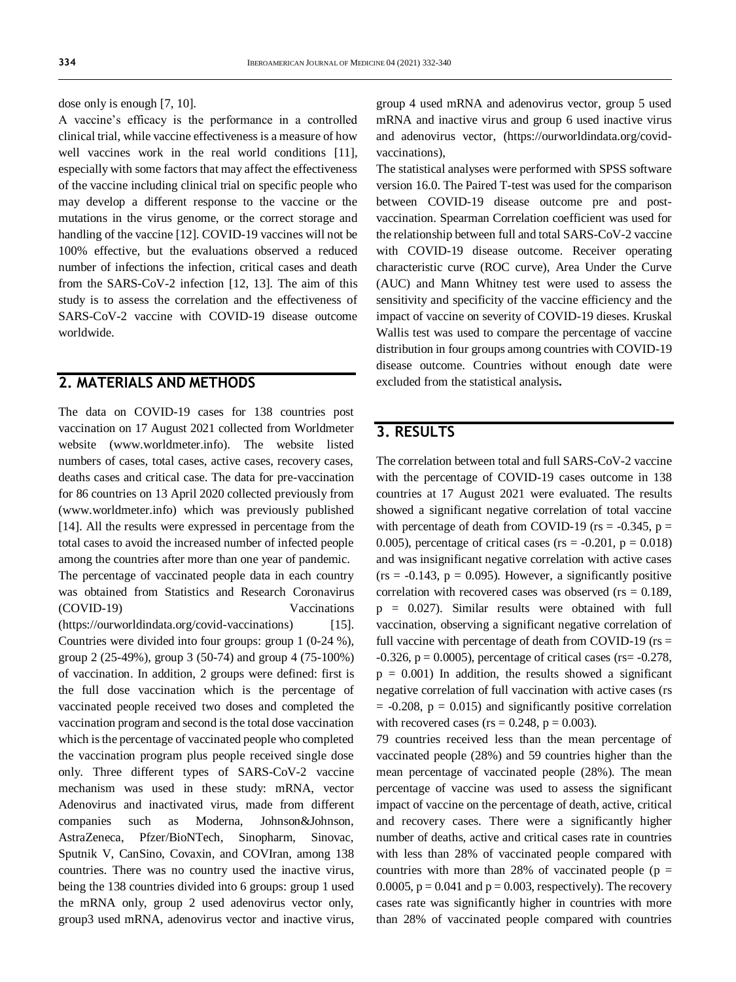dose only is enough [7, 10].

A vaccine's efficacy is the performance in a controlled clinical trial, while vaccine effectiveness is a measure of how well vaccines work in the real world conditions [11], especially with some factors that may affect the effectiveness of the vaccine including clinical trial on specific people who may develop a different response to the vaccine or the mutations in the virus genome, or the correct storage and handling of the vaccine [12]. COVID-19 vaccines will not be 100% effective, but the evaluations observed a reduced number of infections the infection, critical cases and death from the SARS-CoV-2 infection [12, 13]. The aim of this study is to assess the correlation and the effectiveness of SARS-CoV-2 vaccine with COVID-19 disease outcome worldwide.

#### **2. MATERIALS AND METHODS**

The data on COVID-19 cases for 138 countries post vaccination on 17 August 2021 collected from Worldmeter website [\(www.worldmeter.info\)](file:///F:/Iberoamerican%20Journal%20of%20Medicine/Issues/Formato%20artículos/Bilingüe/www.worldmeter.info). The website listed numbers of cases, total cases, active cases, recovery cases, deaths cases and critical case. The data for pre-vaccination for 86 countries on 13 April 2020 collected previously from [\(www.worldmeter.info\)](http://www.worldmeter.info/) which was previously published [14]. All the results were expressed in percentage from the total cases to avoid the increased number of infected people among the countries after more than one year of pandemic. The percentage of vaccinated people data in each country was obtained from Statistics and Research Coronavirus (COVID-19) Vaccinations [\(https://ourworldindata.org/covid-vaccinations\)](https://ourworldindata.org/covid-vaccinations) [15]. Countries were divided into four groups: group 1 (0-24 %), group 2 (25-49%), group 3 (50-74) and group 4 (75-100%) of vaccination. In addition, 2 groups were defined: first is the full dose vaccination which is the percentage of vaccinated people received two doses and completed the vaccination program and second is the total dose vaccination which is the percentage of vaccinated people who completed the vaccination program plus people received single dose only. Three different types of SARS-CoV-2 vaccine mechanism was used in these study: mRNA, vector Adenovirus and inactivated virus, made from different companies such as Moderna, Johnson&Johnson, AstraZeneca, Pfzer/BioNTech, Sinopharm, Sinovac, Sputnik V, CanSino, Covaxin, and COVIran, among 138 countries. There was no country used the inactive virus, being the 138 countries divided into 6 groups: group 1 used the mRNA only, group 2 used adenovirus vector only, group3 used mRNA, adenovirus vector and inactive virus,

group 4 used mRNA and adenovirus vector, group 5 used mRNA and inactive virus and group 6 used inactive virus and adenovirus vector, [\(https://ourworldindata.org/covid](https://ourworldindata.org/covid-vaccinations)[vaccinations\)](https://ourworldindata.org/covid-vaccinations),

The statistical analyses were performed with SPSS software version 16.0. The Paired T-test was used for the comparison between COVID-19 disease outcome pre and postvaccination. Spearman Correlation coefficient was used for the relationship between full and total SARS-CoV-2 vaccine with COVID-19 disease outcome. Receiver operating characteristic curve (ROC curve), Area Under the Curve (AUC) and Mann Whitney test were used to assess the sensitivity and specificity of the vaccine efficiency and the impact of vaccine on severity of COVID-19 dieses. Kruskal Wallis test was used to compare the percentage of vaccine distribution in four groups among countries with COVID-19 disease outcome. Countries without enough date were excluded from the statistical analysis**.**

### **3. RESULTS**

The correlation between total and full SARS-CoV-2 vaccine with the percentage of COVID-19 cases outcome in 138 countries at 17 August 2021 were evaluated. The results showed a significant negative correlation of total vaccine with percentage of death from COVID-19 ( $rs = -0.345$ ,  $p =$ 0.005), percentage of critical cases ( $rs = -0.201$ ,  $p = 0.018$ ) and was insignificant negative correlation with active cases  $(rs = -0.143, p = 0.095)$ . However, a significantly positive correlation with recovered cases was observed ( $rs = 0.189$ , p = 0.027). Similar results were obtained with full vaccination, observing a significant negative correlation of full vaccine with percentage of death from COVID-19 ( $rs =$  $-0.326$ ,  $p = 0.0005$ ), percentage of critical cases (rs=  $-0.278$ ,  $p = 0.001$ ) In addition, the results showed a significant negative correlation of full vaccination with active cases (rs  $= -0.208$ ,  $p = 0.015$ ) and significantly positive correlation with recovered cases ( $rs = 0.248$ ,  $p = 0.003$ ).

79 countries received less than the mean percentage of vaccinated people (28%) and 59 countries higher than the mean percentage of vaccinated people (28%). The mean percentage of vaccine was used to assess the significant impact of vaccine on the percentage of death, active, critical and recovery cases. There were a significantly higher number of deaths, active and critical cases rate in countries with less than 28% of vaccinated people compared with countries with more than 28% of vaccinated people ( $p =$ 0.0005,  $p = 0.041$  and  $p = 0.003$ , respectively). The recovery cases rate was significantly higher in countries with more than 28% of vaccinated people compared with countries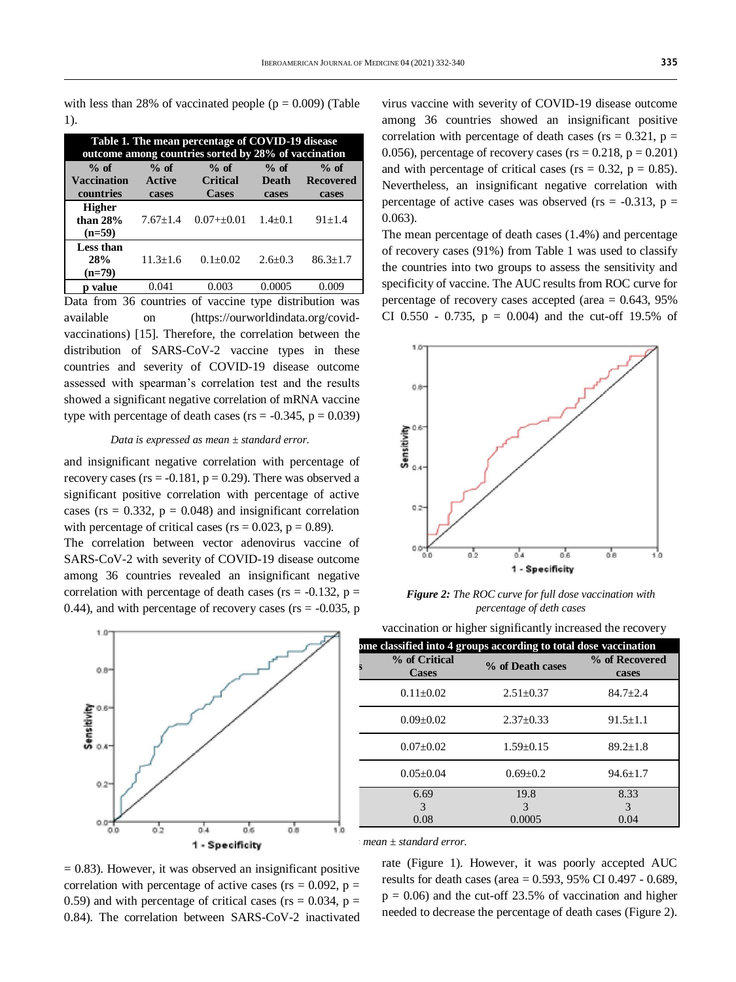0.063).

with less than 28% of vaccinated people ( $p = 0.009$ ) (Table 1).

| Table 1. The mean percentage of COVID-19 disease<br>outcome among countries sorted by 28% of vaccination |               |                 |             |                  |
|----------------------------------------------------------------------------------------------------------|---------------|-----------------|-------------|------------------|
| $%$ of                                                                                                   | $%$ of        | $%$ of          | $%$ of      | $%$ of           |
| <b>Vaccination</b>                                                                                       | <b>Active</b> | <b>Critical</b> | Death       | <b>Recovered</b> |
| countries                                                                                                | cases         | <b>Cases</b>    | cases       | cases            |
| <b>Higher</b><br>than $28%$<br>$(n=59)$                                                                  | $7.67 + 1.4$  | $0.07++0.01$    | $1.4 + 0.1$ | $91 + 1.4$       |
| <b>Less than</b><br>28%<br>$(n=79)$                                                                      | $11.3 + 1.6$  | $0.1 + 0.02$    | $2.6 + 0.3$ | $86.3 + 1.7$     |
| value                                                                                                    | 0.041         | 0.003           | 0.0005      | 0.009            |

Data from 36 countries of vaccine type distribution was available on [\(https://ourworldindata.org/covid](https://ourworldindata.org/covid-vaccinations)[vaccinations\)](https://ourworldindata.org/covid-vaccinations) [15]. Therefore, the correlation between the distribution of SARS-CoV-2 vaccine types in these countries and severity of COVID-19 disease outcome assessed with spearman's correlation test and the results showed a significant negative correlation of mRNA vaccine type with percentage of death cases ( $rs = -0.345$ ,  $p = 0.039$ )

#### *Data is expressed as mean ± standard error.*

and insignificant negative correlation with percentage of recovery cases ( $rs = -0.181$ ,  $p = 0.29$ ). There was observed a significant positive correlation with percentage of active cases ( $rs = 0.332$ ,  $p = 0.048$ ) and insignificant correlation with percentage of critical cases ( $rs = 0.023$ ,  $p = 0.89$ ).

The correlation between vector adenovirus vaccine of SARS-CoV-2 with severity of COVID-19 disease outcome among 36 countries revealed an insignificant negative correlation with percentage of death cases ( $rs = -0.132$ ,  $p =$ 0.44), and with percentage of recovery cases ( $rs = -0.035$ , p



CI 0.550 - 0.735,  $p = 0.004$  and the cut-off 19.5% of 10



virus vaccine with severity of COVID-19 disease outcome among 36 countries showed an insignificant positive correlation with percentage of death cases ( $rs = 0.321$ ,  $p =$ 0.056), percentage of recovery cases ( $rs = 0.218$ ,  $p = 0.201$ ) and with percentage of critical cases ( $rs = 0.32$ ,  $p = 0.85$ ). Nevertheless, an insignificant negative correlation with percentage of active cases was observed ( $rs = -0.313$ ,  $p =$ 

The mean percentage of death cases (1.4%) and percentage of recovery cases (91%) from Table 1 was used to classify the countries into two groups to assess the sensitivity and specificity of vaccine. The AUC results from ROC curve for percentage of recovery cases accepted (area  $= 0.643, 95\%$ 

1 - Specificity *Figure 2: The ROC curve for full dose vaccination with percentage of deth cases*

 $0.4$ 

 $\overline{0.6}$ 

os

۰'n

|                                                      | ome classified into 4 groups according to total dose vaccination |                  |                         |
|------------------------------------------------------|------------------------------------------------------------------|------------------|-------------------------|
| $0.8 -$                                              | % of Critical<br><b>Cases</b>                                    | % of Death cases | % of Recovered<br>cases |
|                                                      | $0.11 \pm 0.02$                                                  | $2.51 \pm 0.37$  | $84.7 \pm 2.4$          |
| $50.6 -$<br>ä.                                       | $0.09 \pm 0.02$                                                  | $2.37 \pm 0.33$  | $91.5 \pm 1.1$          |
| $504-$                                               | $0.07 \pm 0.02$                                                  | $1.59 \pm 0.15$  | $89.2 \pm 1.8$          |
| $0.2 -$                                              | $0.05 \pm 0.04$                                                  | $0.69 \pm 0.2$   | $94.6 \pm 1.7$          |
|                                                      | 6.69                                                             | 19.8             | 8.33<br>3               |
| $0.0 -$<br>直び<br>n n<br><b>CLA</b><br>作成<br>作用<br>m. | 0.08                                                             | 0.0005           | 0.04                    |

*Data is expressed as mean ± standard error.*

Õ.Č

 $0<sup>1</sup>$ 

 $= 0.83$ ). However, it was observed an insignificant positive correlation with percentage of active cases ( $rs = 0.092$ ,  $p =$ 0.59) and with percentage of critical cases ( $rs = 0.034$ ,  $p =$ 0.84). The correlation between SARS-CoV-2 inactivated

rate (Figure 1). However, it was poorly accepted AUC results for death cases (area = 0.593, 95% CI 0.497 - 0.689,  $p = 0.06$ ) and the cut-off 23.5% of vaccination and higher needed to decrease the percentage of death cases (Figure 2).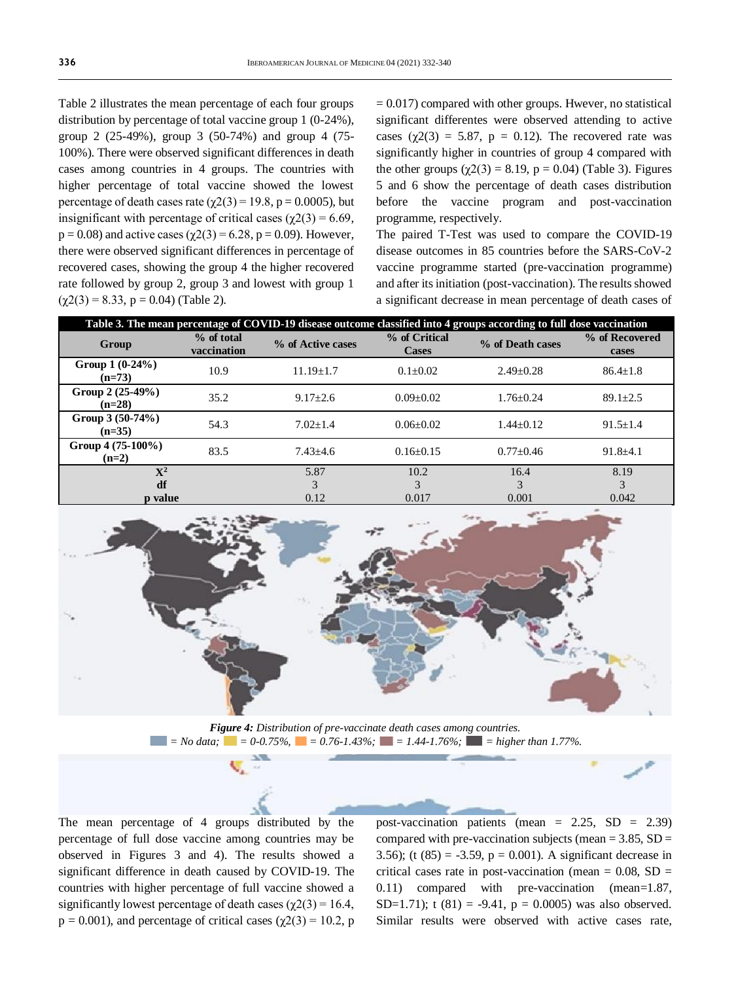Table 2 illustrates the mean percentage of each four groups distribution by percentage of total vaccine group 1 (0-24%), group 2 (25-49%), group 3 (50-74%) and group 4 (75- 100%). There were observed significant differences in death cases among countries in 4 groups. The countries with higher percentage of total vaccine showed the lowest percentage of death cases rate ( $\chi$ 2(3) = 19.8, p = 0.0005), but insignificant with percentage of critical cases ( $\gamma$ 2(3) = 6.69,  $p = 0.08$ ) and active cases ( $\chi$ 2(3) = 6.28, p = 0.09). However, there were observed significant differences in percentage of recovered cases, showing the group 4 the higher recovered rate followed by group 2, group 3 and lowest with group 1  $(\gamma 2(3) = 8.33, p = 0.04)$  (Table 2).

 $= 0.017$ ) compared with other groups. Hwever, no statistical significant differentes were observed attending to active cases ( $\chi$ 2(3) = 5.87, p = 0.12). The recovered rate was significantly higher in countries of group 4 compared with the other groups  $(\gamma 2(3) = 8.19, p = 0.04)$  (Table 3). Figures 5 and 6 show the percentage of death cases distribution before the vaccine program and post-vaccination programme, respectively.

The paired T-Test was used to compare the COVID-19 disease outcomes in 85 countries before the SARS-CoV-2 vaccine programme started (pre-vaccination programme) and after its initiation (post-vaccination). The results showed a significant decrease in mean percentage of death cases of

| Table 3. The mean percentage of COVID-19 disease outcome classified into 4 groups according to full dose vaccination |                           |                   |                               |                  |                         |
|----------------------------------------------------------------------------------------------------------------------|---------------------------|-------------------|-------------------------------|------------------|-------------------------|
| Group                                                                                                                | % of total<br>vaccination | % of Active cases | % of Critical<br><b>Cases</b> | % of Death cases | % of Recovered<br>cases |
| Group $1(0-24\%)$<br>$(n=73)$                                                                                        | 10.9                      | $11.19 + 1.7$     | $0.1 \pm 0.02$                | $2.49 + 0.28$    | $86.4 + 1.8$            |
| Group 2 (25-49%)<br>$(n=28)$                                                                                         | 35.2                      | $9.17 + 2.6$      | $0.09 + 0.02$                 | $1.76 + 0.24$    | $89.1 \pm 2.5$          |
| Group 3 (50-74%)<br>$(n=35)$                                                                                         | 54.3                      | $7.02 + 1.4$      | $0.06 + 0.02$                 | $1.44 + 0.12$    | $91.5 \pm 1.4$          |
| Group $4(75-100\%)$<br>$(n=2)$                                                                                       | 83.5                      | $7.43 + 4.6$      | $0.16 + 0.15$                 | $0.77 \pm 0.46$  | $91.8 + 4.1$            |
| $\mathbf{X}^2$                                                                                                       |                           | 5.87              | 10.2                          | 16.4             | 8.19                    |
| df<br>p value                                                                                                        |                           | 3<br>0.12         | 3<br>0.017                    | 3<br>0.001       | 3<br>0.042              |



*Figure 4: Distribution of pre-vaccinate death cases among countries. = No data; = 0-0.75%, = 0.76-1.43%; = 1.44-1.76%; = higher than 1.77%.*

The mean percentage of 4 groups distributed by the percentage of full dose vaccine among countries may be observed in Figures 3 and 4). The results showed a significant difference in death caused by COVID-19. The countries with higher percentage of full vaccine showed a significantly lowest percentage of death cases ( $\chi$ 2(3) = 16.4,  $p = 0.001$ ), and percentage of critical cases ( $\chi$ 2(3) = 10.2, p post-vaccination patients (mean =  $2.25$ , SD =  $2.39$ ) compared with pre-vaccination subjects (mean  $= 3.85$ , SD  $=$ 3.56); (t  $(85) = -3.59$ ,  $p = 0.001$ ). A significant decrease in critical cases rate in post-vaccination (mean  $= 0.08$ , SD  $=$ 0.11) compared with pre-vaccination (mean=1.87, SD=1.71); t  $(81) = -9.41$ ,  $p = 0.0005$ ) was also observed. Similar results were observed with active cases rate,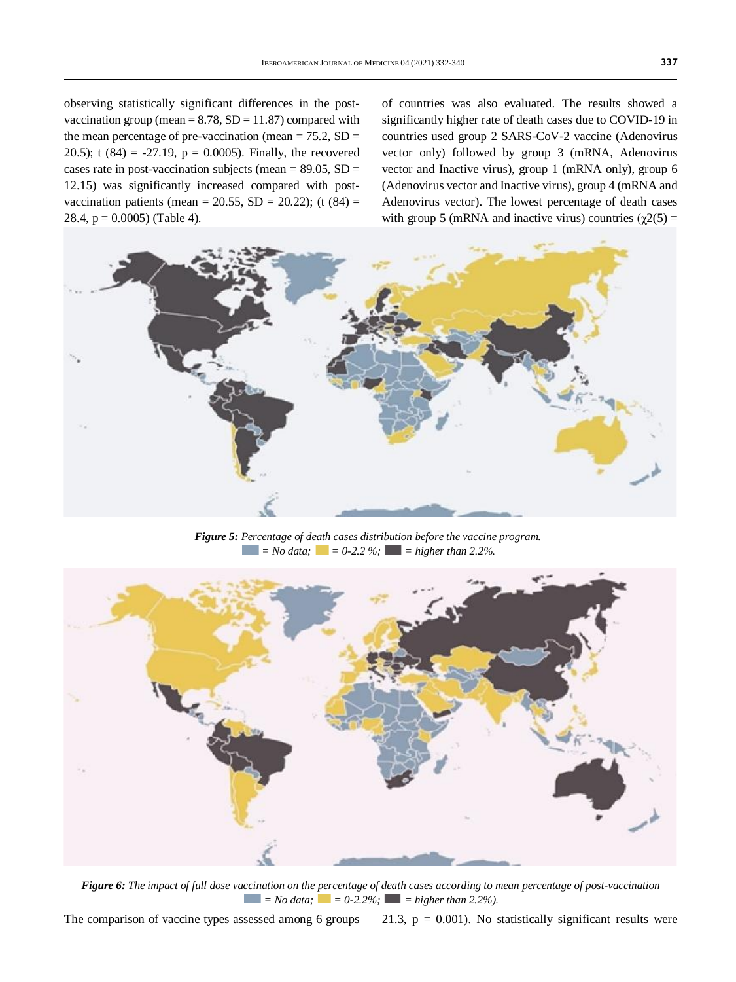observing statistically significant differences in the postvaccination group (mean  $= 8.78$ , SD  $= 11.87$ ) compared with the mean percentage of pre-vaccination (mean  $= 75.2$ , SD  $=$ 20.5); t  $(84) = -27.19$ ,  $p = 0.0005$ . Finally, the recovered cases rate in post-vaccination subjects (mean  $= 89.05$ , SD  $=$ 12.15) was significantly increased compared with postvaccination patients (mean = 20.55, SD = 20.22); (t  $(84)$  = 28.4,  $p = 0.0005$ ) (Table 4).

of countries was also evaluated. The results showed a significantly higher rate of death cases due to COVID-19 in countries used group 2 SARS-CoV-2 vaccine (Adenovirus vector only) followed by group 3 (mRNA, Adenovirus vector and Inactive virus), group 1 (mRNA only), group 6 (Adenovirus vector and Inactive virus), group 4 (mRNA and Adenovirus vector). The lowest percentage of death cases with group 5 (mRNA and inactive virus) countries ( $\chi$ 2(5) =



*Figure 5: Percentage of death cases distribution before the vaccine program.*  $\blacksquare$  = No data;  $\blacksquare$  = 0-2.2 %;  $\blacksquare$  = higher than 2.2%.



*Figure 6: The impact of full dose vaccination on the percentage of death cases according to mean percentage of post-vaccination*  $\blacksquare$  = No data;  $\blacksquare$  = 0-2.2%;  $\blacksquare$  = higher than 2.2%).

The comparison of vaccine types assessed among 6 groups 21.3,  $p = 0.001$ ). No statistically significant results were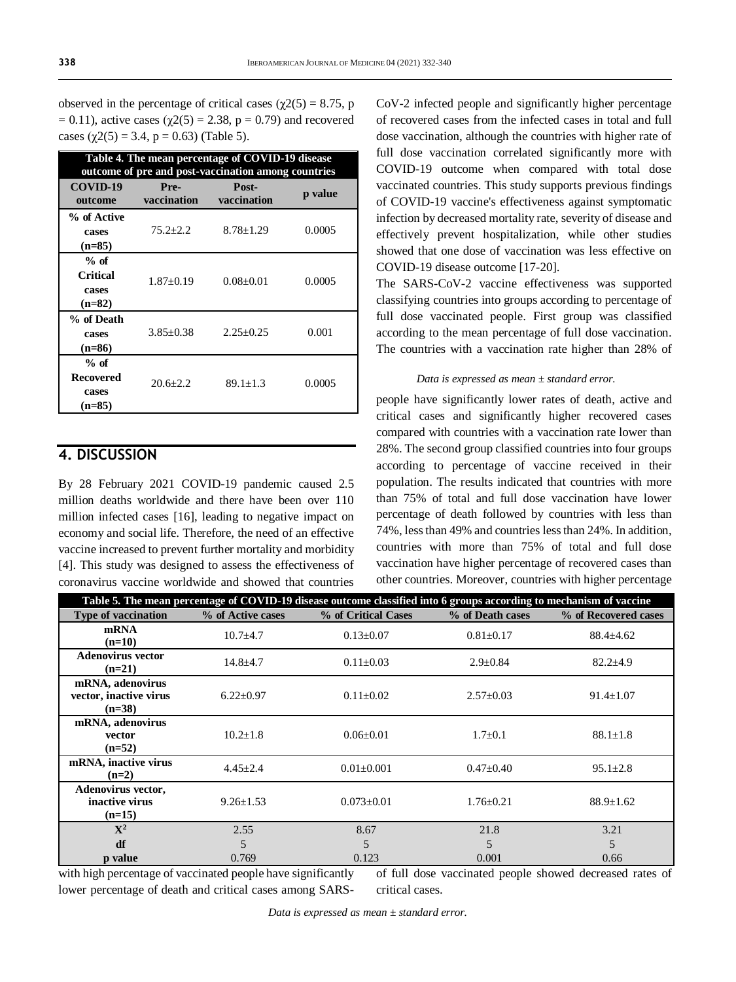| observed in the percentage of critical cases ( $\gamma$ 2(5) = 8.75, p |
|------------------------------------------------------------------------|
| = 0.11), active cases ( $\chi$ 2(5) = 2.38, p = 0.79) and recovered    |
| cases $(\chi 2(5) = 3.4, p = 0.63)$ (Table 5).                         |

| Table 4. The mean percentage of COVID-19 disease<br>outcome of pre and post-vaccination among countries |                     |                      |         |  |
|---------------------------------------------------------------------------------------------------------|---------------------|----------------------|---------|--|
| COVID-19<br>outcome                                                                                     | Pre-<br>vaccination | Post-<br>vaccination | p value |  |
| % of Active<br>cases<br>$(n=85)$                                                                        | $75.2 + 2.2$        | $8.78 \pm 1.29$      | 0.0005  |  |
| $%$ of<br><b>Critical</b><br>cases<br>$(n=82)$                                                          | $1.87+0.19$         | $0.08 \pm 0.01$      | 0.0005  |  |
| % of Death<br>cases<br>$(n=86)$                                                                         | $3.85 + 0.38$       | $2.25 + 0.25$        | 0.001   |  |
| $%$ of<br><b>Recovered</b><br>cases<br>$(n=85)$                                                         | $20.6 + 2.2$        | $89.1 + 1.3$         | 0.0005  |  |

# **4. DISCUSSION**

By 28 February 2021 COVID-19 pandemic caused 2.5 million deaths worldwide and there have been over 110 million infected cases [16], leading to negative impact on economy and social life. Therefore, the need of an effective vaccine increased to prevent further mortality and morbidity [4]. This study was designed to assess the effectiveness of coronavirus vaccine worldwide and showed that countries

CoV-2 infected people and significantly higher percentage of recovered cases from the infected cases in total and full dose vaccination, although the countries with higher rate of full dose vaccination correlated significantly more with COVID-19 outcome when compared with total dose vaccinated countries. This study supports previous findings of COVID-19 vaccine's effectiveness against symptomatic infection by decreased mortality rate, severity of disease and effectively prevent hospitalization, while other studies showed that one dose of vaccination was less effective on COVID-19 disease outcome [17-20].

The SARS-CoV-2 vaccine effectiveness was supported classifying countries into groups according to percentage of full dose vaccinated people. First group was classified according to the mean percentage of full dose vaccination. The countries with a vaccination rate higher than 28% of

#### *Data is expressed as mean ± standard error.*

people have significantly lower rates of death, active and critical cases and significantly higher recovered cases compared with countries with a vaccination rate lower than 28%. The second group classified countries into four groups according to percentage of vaccine received in their population. The results indicated that countries with more than 75% of total and full dose vaccination have lower percentage of death followed by countries with less than 74%, less than 49% and countries less than 24%. In addition, countries with more than 75% of total and full dose vaccination have higher percentage of recovered cases than other countries. Moreover, countries with higher percentage

| Table 5. The mean percentage of COVID-19 disease outcome classified into 6 groups according to mechanism of vaccine |                   |                     |                  |                      |
|---------------------------------------------------------------------------------------------------------------------|-------------------|---------------------|------------------|----------------------|
| <b>Type of vaccination</b>                                                                                          | % of Active cases | % of Critical Cases | % of Death cases | % of Recovered cases |
| mRNA<br>$(n=10)$                                                                                                    | $10.7 + 4.7$      | $0.13 \pm 0.07$     | $0.81 \pm 0.17$  | $88.4 \pm 4.62$      |
| <b>Adenovirus vector</b><br>$(n=21)$                                                                                | $14.8 + 4.7$      | $0.11 \pm 0.03$     | $2.9 \pm 0.84$   | $82.2 \pm 4.9$       |
| mRNA, adenovirus<br>vector, inactive virus<br>$(n=38)$                                                              | $6.22 \pm 0.97$   | $0.11 \pm 0.02$     | $2.57 \pm 0.03$  | $91.4 \pm 1.07$      |
| mRNA, adenovirus<br>vector<br>$(n=52)$                                                                              | $10.2 \pm 1.8$    | $0.06 \pm 0.01$     | $1.7 \pm 0.1$    | $88.1 \pm 1.8$       |
| mRNA, inactive virus<br>$(n=2)$                                                                                     | $4.45 \pm 2.4$    | $0.01 \pm 0.001$    | $0.47 \pm 0.40$  | $95.1 \pm 2.8$       |
| Adenovirus vector,<br>inactive virus<br>$(n=15)$                                                                    | $9.26 \pm 1.53$   | $0.073 \pm 0.01$    | $1.76 \pm 0.21$  | $88.9 \pm 1.62$      |
| ${\bf X}^2$                                                                                                         | 2.55              | 8.67                | 21.8             | 3.21                 |
| df                                                                                                                  | 5                 | 5                   | 5                | 5                    |
| p value                                                                                                             | 0.769             | 0.123               | 0.001            | 0.66                 |

with high percentage of vaccinated people have significantly lower percentage of death and critical cases among SARSof full dose vaccinated people showed decreased rates of critical cases.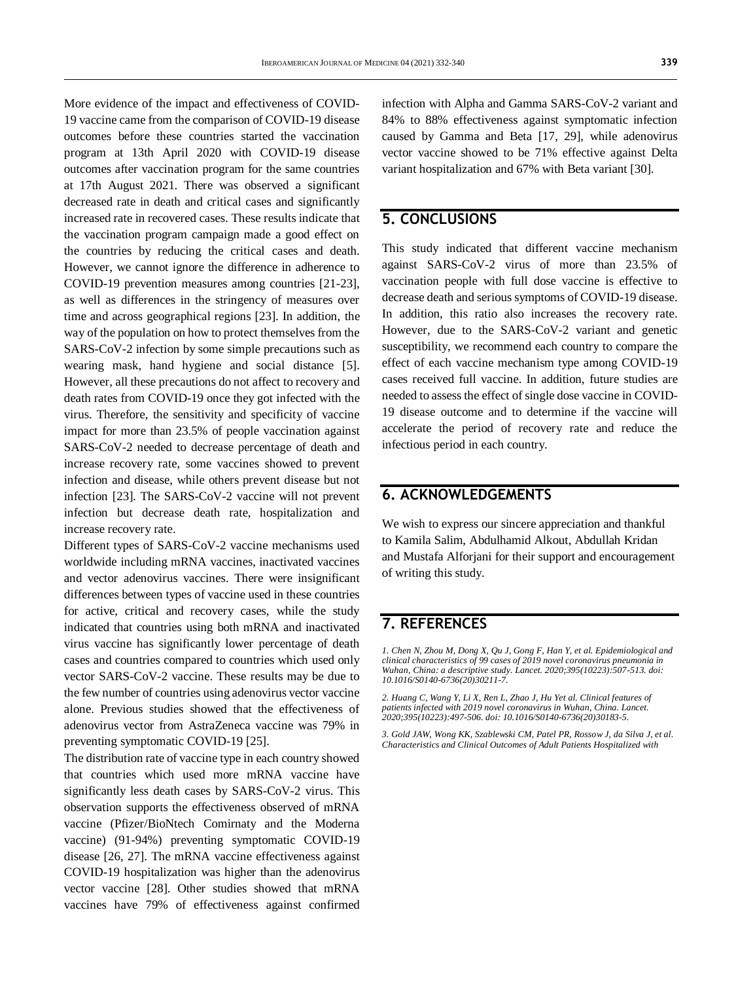More evidence of the impact and effectiveness of COVID-19 vaccine came from the comparison of COVID-19 disease outcomes before these countries started the vaccination program at 13th April 2020 with COVID-19 disease outcomes after vaccination program for the same countries at 17th August 2021. There was observed a significant decreased rate in death and critical cases and significantly increased rate in recovered cases. These results indicate that the vaccination program campaign made a good effect on the countries by reducing the critical cases and death. However, we cannot ignore the difference in adherence to COVID-19 prevention measures among countries [21-23], as well as differences in the stringency of measures over time and across geographical regions [23]. In addition, the way of the population on how to protect themselves from the SARS-CoV-2 infection by some simple precautions such as wearing mask, hand hygiene and social distance [5]. However, all these precautions do not affect to recovery and death rates from COVID-19 once they got infected with the virus. Therefore, the sensitivity and specificity of vaccine impact for more than 23.5% of people vaccination against SARS-CoV-2 needed to decrease percentage of death and increase recovery rate, some vaccines showed to prevent infection and disease, while others prevent disease but not infection [23]. The SARS-CoV-2 vaccine will not prevent infection but decrease death rate, hospitalization and increase recovery rate.

Different types of SARS-CoV-2 vaccine mechanisms used worldwide including mRNA vaccines, inactivated vaccines and vector adenovirus vaccines. There were insignificant differences between types of vaccine used in these countries for active, critical and recovery cases, while the study indicated that countries using both mRNA and inactivated virus vaccine has significantly lower percentage of death cases and countries compared to countries which used only vector SARS-CoV-2 vaccine. These results may be due to the few number of countries using adenovirus vector vaccine alone. Previous studies showed that the effectiveness of adenovirus vector from AstraZeneca vaccine was 79% in preventing symptomatic COVID-19 [25].

The distribution rate of vaccine type in each country showed that countries which used more mRNA vaccine have significantly less death cases by SARS-CoV-2 virus. This observation supports the effectiveness observed of mRNA vaccine (Pfizer/BioNtech Comirnaty and the Moderna vaccine) (91-94%) preventing symptomatic COVID-19 disease [26, 27]. The mRNA vaccine effectiveness against COVID-19 hospitalization was higher than the adenovirus vector vaccine [28]. Other studies showed that mRNA vaccines have 79% of effectiveness against confirmed

infection with Alpha and Gamma SARS-CoV-2 variant and 84% to 88% effectiveness against symptomatic infection caused by Gamma and Beta [17, 29], while adenovirus vector vaccine showed to be 71% effective against Delta variant hospitalization and 67% with Beta variant [30].

# **5. CONCLUSIONS**

This study indicated that different vaccine mechanism against SARS-CoV-2 virus of more than 23.5% of vaccination people with full dose vaccine is effective to decrease death and serious symptoms of COVID-19 disease. In addition, this ratio also increases the recovery rate. However, due to the SARS-CoV-2 variant and genetic susceptibility, we recommend each country to compare the effect of each vaccine mechanism type among COVID-19 cases received full vaccine. In addition, future studies are needed to assess the effect of single dose vaccine in COVID-19 disease outcome and to determine if the vaccine will accelerate the period of recovery rate and reduce the infectious period in each country.

#### **6. ACKNOWLEDGEMENTS**

We wish to express our sincere appreciation and thankful to Kamila Salim, Abdulhamid Alkout, Abdullah Kridan and Mustafa Alforjani for their support and encouragement of writing this study.

#### **7. REFERENCES**

*1. Chen N, Zhou M, Dong X, Qu J, Gong F, Han Y, et al. Epidemiological and clinical characteristics of 99 cases of 2019 novel coronavirus pneumonia in Wuhan, China: a descriptive study. Lancet. 2020;395(10223):507-513. doi: [10.1016/S0140-6736\(20\)30211-7.](https://doi.org/10.1016/s0140-6736(20)30211-7)*

*2. Huang C, Wang Y, Li X, Ren L, Zhao J, Hu Yet al. Clinical features of patients infected with 2019 novel coronavirus in Wuhan, China. Lancet. 2020;395(10223):497-506. doi[: 10.1016/S0140-6736\(20\)30183-5.](https://doi.org/10.1016/s0140-6736(20)30183-5)*

*3. Gold JAW, Wong KK, Szablewski CM, Patel PR, Rossow J, da Silva J, et al. Characteristics and Clinical Outcomes of Adult Patients Hospitalized with*